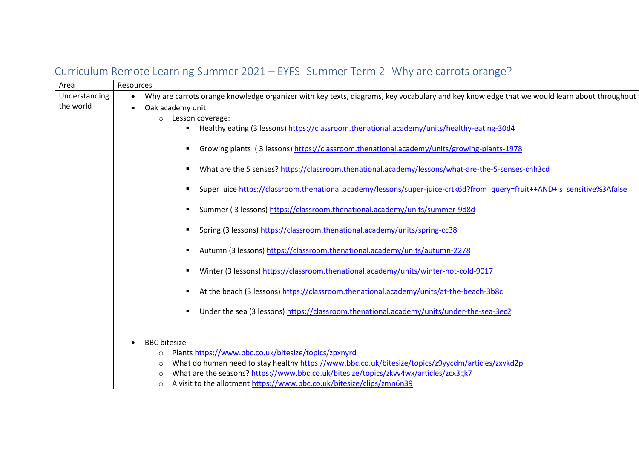| Area          | Resources                                                                                                                                    |
|---------------|----------------------------------------------------------------------------------------------------------------------------------------------|
| Understanding | Why are carrots orange knowledge organizer with key texts, diagrams, key vocabulary and key knowledge that we would learn about throughout i |
| the world     | Oak academy unit:                                                                                                                            |
|               | Lesson coverage:<br>$\circ$                                                                                                                  |
|               | Healthy eating (3 lessons) https://classroom.thenational.academy/units/healthy-eating-30d4                                                   |
|               | Growing plants (3 lessons) https://classroom.thenational.academy/units/growing-plants-1978<br>٠                                              |
|               | What are the 5 senses? https://classroom.thenational.academy/lessons/what-are-the-5-senses-cnh3cd                                            |
|               | Super juice https://classroom.thenational.academy/lessons/super-juice-crtk6d?from_query=fruit++AND+is_sensitive%3Afalse                      |
|               | Summer (3 lessons) https://classroom.thenational.academy/units/summer-9d8d                                                                   |
|               | Spring (3 lessons) https://classroom.thenational.academy/units/spring-cc38                                                                   |
|               | Autumn (3 lessons) https://classroom.thenational.academy/units/autumn-2278                                                                   |
|               | Winter (3 lessons) https://classroom.thenational.academy/units/winter-hot-cold-9017                                                          |
|               | At the beach (3 lessons) https://classroom.thenational.academy/units/at-the-beach-3b8c                                                       |
|               | Under the sea (3 lessons) https://classroom.thenational.academy/units/under-the-sea-3ec2<br>٠                                                |
|               | <b>BBC</b> bitesize                                                                                                                          |
|               | Plants https://www.bbc.co.uk/bitesize/topics/zpxnyrd<br>$\circ$                                                                              |
|               | What do human need to stay healthy https://www.bbc.co.uk/bitesize/topics/z9yycdm/articles/zxvkd2p<br>$\circ$                                 |
|               | What are the seasons? https://www.bbc.co.uk/bitesize/topics/zkvv4wx/articles/zcx3gk7<br>∩                                                    |
|               | A visit to the allotment https://www.bbc.co.uk/bitesize/clips/zmn6n39<br>$\circ$                                                             |

## Curriculum Remote Learning Summer 2021 – EYFS- Summer Term 2- Why are carrots orange?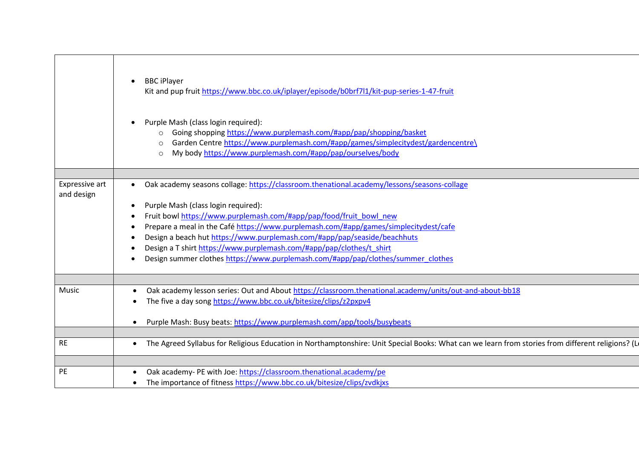|                              | <b>BBC iPlayer</b><br>Kit and pup fruit https://www.bbc.co.uk/iplayer/episode/b0brf7l1/kit-pup-series-1-47-fruit<br>Purple Mash (class login required):<br>Going shopping https://www.purplemash.com/#app/pap/shopping/basket<br>$\Omega$<br>Garden Centre https://www.purplemash.com/#app/games/simplecitydest/gardencentre\<br>My body https://www.purplemash.com/#app/pap/ourselves/body<br>$\circ$ |
|------------------------------|--------------------------------------------------------------------------------------------------------------------------------------------------------------------------------------------------------------------------------------------------------------------------------------------------------------------------------------------------------------------------------------------------------|
|                              |                                                                                                                                                                                                                                                                                                                                                                                                        |
| Expressive art<br>and design | Oak academy seasons collage: https://classroom.thenational.academy/lessons/seasons-collage<br>$\bullet$                                                                                                                                                                                                                                                                                                |
|                              | Purple Mash (class login required):<br>$\bullet$                                                                                                                                                                                                                                                                                                                                                       |
|                              | Fruit bowl https://www.purplemash.com/#app/pap/food/fruit bowl new                                                                                                                                                                                                                                                                                                                                     |
|                              | Prepare a meal in the Café https://www.purplemash.com/#app/games/simplecitydest/cafe                                                                                                                                                                                                                                                                                                                   |
|                              | Design a beach hut https://www.purplemash.com/#app/pap/seaside/beachhuts                                                                                                                                                                                                                                                                                                                               |
|                              | Design a T shirt https://www.purplemash.com/#app/pap/clothes/t_shirt                                                                                                                                                                                                                                                                                                                                   |
|                              | Design summer clothes https://www.purplemash.com/#app/pap/clothes/summer clothes                                                                                                                                                                                                                                                                                                                       |
|                              |                                                                                                                                                                                                                                                                                                                                                                                                        |
|                              |                                                                                                                                                                                                                                                                                                                                                                                                        |
| Music                        | Oak academy lesson series: Out and About https://classroom.thenational.academy/units/out-and-about-bb18<br>$\bullet$                                                                                                                                                                                                                                                                                   |
|                              | The five a day song https://www.bbc.co.uk/bitesize/clips/z2pxpv4                                                                                                                                                                                                                                                                                                                                       |
|                              |                                                                                                                                                                                                                                                                                                                                                                                                        |
|                              | Purple Mash: Busy beats: https://www.purplemash.com/app/tools/busybeats                                                                                                                                                                                                                                                                                                                                |
|                              |                                                                                                                                                                                                                                                                                                                                                                                                        |
| <b>RE</b>                    | The Agreed Syllabus for Religious Education in Northamptonshire: Unit Special Books: What can we learn from stories from different religions? (Let<br>$\bullet$                                                                                                                                                                                                                                        |
|                              |                                                                                                                                                                                                                                                                                                                                                                                                        |
| PE                           | Oak academy- PE with Joe: https://classroom.thenational.academy/pe                                                                                                                                                                                                                                                                                                                                     |
|                              | The importance of fitness https://www.bbc.co.uk/bitesize/clips/zvdkjxs                                                                                                                                                                                                                                                                                                                                 |
|                              |                                                                                                                                                                                                                                                                                                                                                                                                        |